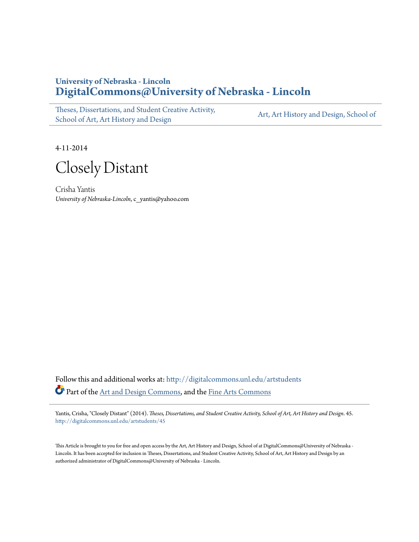## **University of Nebraska - Lincoln [DigitalCommons@University of Nebraska - Lincoln](http://digitalcommons.unl.edu?utm_source=digitalcommons.unl.edu%2Fartstudents%2F45&utm_medium=PDF&utm_campaign=PDFCoverPages)**

[Theses, Dissertations, and Student Creative Activity,](http://digitalcommons.unl.edu/artstudents?utm_source=digitalcommons.unl.edu%2Fartstudents%2F45&utm_medium=PDF&utm_campaign=PDFCoverPages) [School of Art, Art History and Design](http://digitalcommons.unl.edu/artstudents?utm_source=digitalcommons.unl.edu%2Fartstudents%2F45&utm_medium=PDF&utm_campaign=PDFCoverPages)

[Art, Art History and Design, School of](http://digitalcommons.unl.edu/art?utm_source=digitalcommons.unl.edu%2Fartstudents%2F45&utm_medium=PDF&utm_campaign=PDFCoverPages)

4-11-2014

Closely Distant

Crisha Yantis *University of Nebraska-Lincoln*, c\_yantis@yahoo.com

Follow this and additional works at: [http://digitalcommons.unl.edu/artstudents](http://digitalcommons.unl.edu/artstudents?utm_source=digitalcommons.unl.edu%2Fartstudents%2F45&utm_medium=PDF&utm_campaign=PDFCoverPages) Part of the [Art and Design Commons,](http://network.bepress.com/hgg/discipline/1049?utm_source=digitalcommons.unl.edu%2Fartstudents%2F45&utm_medium=PDF&utm_campaign=PDFCoverPages) and the [Fine Arts Commons](http://network.bepress.com/hgg/discipline/1141?utm_source=digitalcommons.unl.edu%2Fartstudents%2F45&utm_medium=PDF&utm_campaign=PDFCoverPages)

Yantis, Crisha, "Closely Distant" (2014). *Theses, Dissertations, and Student Creative Activity, School of Art, Art History and Design*. 45. [http://digitalcommons.unl.edu/artstudents/45](http://digitalcommons.unl.edu/artstudents/45?utm_source=digitalcommons.unl.edu%2Fartstudents%2F45&utm_medium=PDF&utm_campaign=PDFCoverPages)

This Article is brought to you for free and open access by the Art, Art History and Design, School of at DigitalCommons@University of Nebraska - Lincoln. It has been accepted for inclusion in Theses, Dissertations, and Student Creative Activity, School of Art, Art History and Design by an authorized administrator of DigitalCommons@University of Nebraska - Lincoln.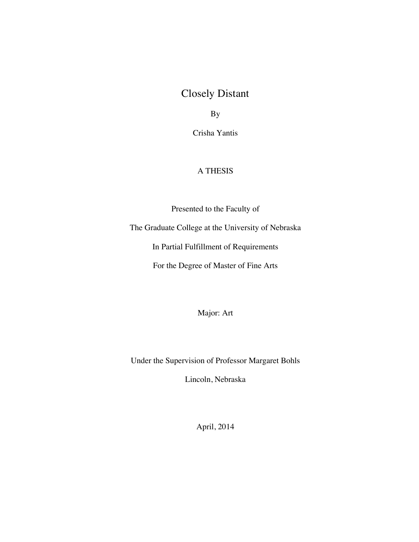## Closely Distant

By

Crisha Yantis

## A THESIS

Presented to the Faculty of

The Graduate College at the University of Nebraska

In Partial Fulfillment of Requirements

For the Degree of Master of Fine Arts

Major: Art

Under the Supervision of Professor Margaret Bohls

Lincoln, Nebraska

April, 2014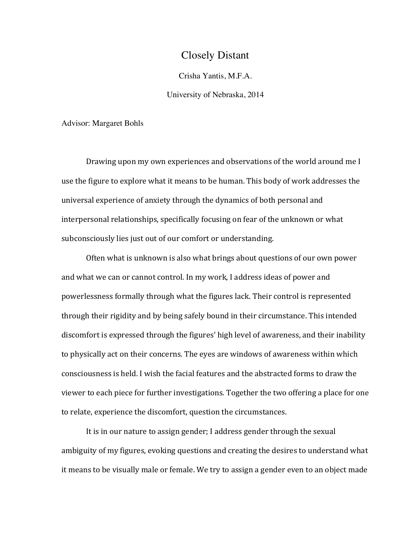## Closely Distant

Crisha Yantis, M.F.A.

University of Nebraska, 2014

Advisor: Margaret Bohls

Drawing upon my own experiences and observations of the world around me I use the figure to explore what it means to be human. This body of work addresses the universal experience of anxiety through the dynamics of both personal and interpersonal relationships, specifically focusing on fear of the unknown or what subconsciously lies just out of our comfort or understanding.

Often what is unknown is also what brings about questions of our own power and what we can or cannot control. In my work, I address ideas of power and powerlessness formally through what the figures lack. Their control is represented through their rigidity and by being safely bound in their circumstance. This intended discomfort is expressed through the figures' high level of awareness, and their inability to physically act on their concerns. The eyes are windows of awareness within which consciousness is held. I wish the facial features and the abstracted forms to draw the viewer to each piece for further investigations. Together the two offering a place for one to relate, experience the discomfort, question the circumstances.

It is in our nature to assign gender; I address gender through the sexual ambiguity of my figures, evoking questions and creating the desires to understand what it means to be visually male or female. We try to assign a gender even to an object made